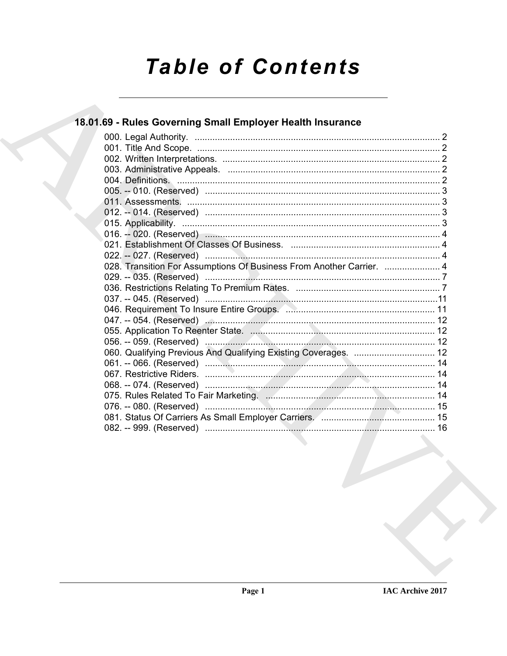# **Table of Contents**

# 18.01.69 - Rules Governing Small Employer Health Insurance

| 028. Transition For Assumptions Of Business From Another Carrier.  4 |
|----------------------------------------------------------------------|
|                                                                      |
|                                                                      |
|                                                                      |
| 046. Requirement To Insure Entire Groups. 2008. 2008. 2009. 11       |
|                                                                      |
|                                                                      |
|                                                                      |
| 060. Qualifying Previous And Qualifying Existing Coverages.  12      |
|                                                                      |
|                                                                      |
|                                                                      |
|                                                                      |
|                                                                      |
|                                                                      |
|                                                                      |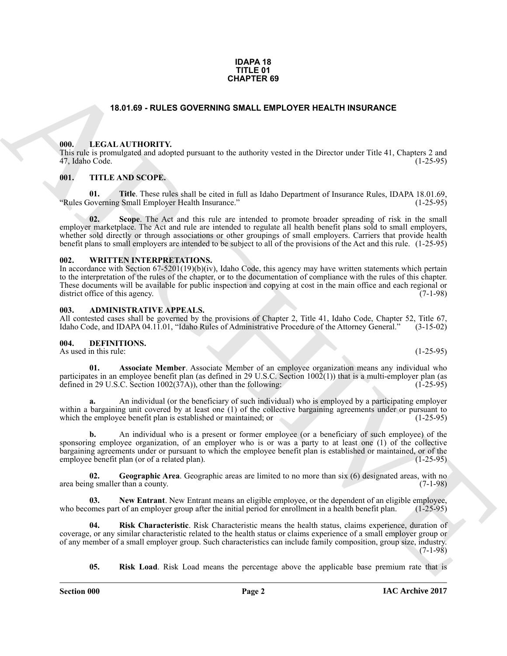#### **IDAPA 18 TITLE 01 CHAPTER 69**

# **18.01.69 - RULES GOVERNING SMALL EMPLOYER HEALTH INSURANCE**

#### <span id="page-1-1"></span><span id="page-1-0"></span>**000. LEGAL AUTHORITY.**

This rule is promulgated and adopted pursuant to the authority vested in the Director under Title 41, Chapters 2 and 47, Idaho Code. (1-25-95)

### <span id="page-1-2"></span>**001. TITLE AND SCOPE.**

**01. Title**. These rules shall be cited in full as Idaho Department of Insurance Rules, IDAPA 18.01.69, "Rules Governing Small Employer Health Insurance." (1-25-95)

**02. Scope**. The Act and this rule are intended to promote broader spreading of risk in the small employer marketplace. The Act and rule are intended to regulate all health benefit plans sold to small employers, whether sold directly or through associations or other groupings of small employers. Carriers that provide health benefit plans to small employers are intended to be subject to all of the provisions of the Act and this rule. (1-25-95)

### <span id="page-1-3"></span>**002. WRITTEN INTERPRETATIONS.**

**ERACTES GOVERNING SIMALL EMPLOYER HEALTH INSURANCE<br>
THE LACK ATTICULATION PY-<br>
THE LACK ATTICULATION PY-<br>
THE LACK SCOPE IS USED AND INSURATE SERVE TO THE LACK SCOPE IS USED AND INSURATE CHARGED THE LAND SCOPE.<br>
THE LAND** In accordance with Section 67-5201(19)(b)(iv), Idaho Code, this agency may have written statements which pertain to the interpretation of the rules of the chapter, or to the documentation of compliance with the rules of this chapter. These documents will be available for public inspection and copying at cost in the main office and each regional or district office of this agency. district office of this agency.

#### <span id="page-1-4"></span>**003. ADMINISTRATIVE APPEALS.**

All contested cases shall be governed by the provisions of Chapter 2, Title 41, Idaho Code, Chapter 52, Title 67, Idaho Code, and IDAPA 04.11.01. "Idaho Rules of Administrative Procedure of the Attorney General." (3-15-02) Idaho Code, and IDAPA 04.11.01, "Idaho Rules of Administrative Procedure of the Attorney General."

### <span id="page-1-6"></span><span id="page-1-5"></span>**004. DEFINITIONS.**

As used in this rule: (1-25-95)

<span id="page-1-7"></span>**01. Associate Member**. Associate Member of an employee organization means any individual who participates in an employee benefit plan (as defined in 29 U.S.C. Section 1002(1)) that is a multi-employer plan (as defined in 29 U.S.C. Section 1002(37A)), other than the following: (1-25-95) defined in 29 U.S.C. Section  $1002(37A)$ , other than the following:

**a.** An individual (or the beneficiary of such individual) who is employed by a participating employer within a bargaining unit covered by at least one (1) of the collective bargaining agreements under or pursuant to which the employee benefit plan is established or maintained; or (1-25-95) which the employee benefit plan is established or maintained; or

**b.** An individual who is a present or former employee (or a beneficiary of such employee) of the sponsoring employee organization, of an employer who is or was a party to at least one (1) of the collective bargaining agreements under or pursuant to which the employee benefit plan is established or maintained, or of the employee benefit plan (or of a related plan). employee benefit plan (or of a related plan).

<span id="page-1-8"></span>**02.** Geographic Area. Geographic areas are limited to no more than six (6) designated areas, with no g smaller than a county. (7-1-98) area being smaller than a county.

<span id="page-1-9"></span>**03.** New Entrant. New Entrant means an eligible employee, or the dependent of an eligible employee, ones part of an employee group after the initial period for enrollment in a health benefit plan. (1-25-95) who becomes part of an employer group after the initial period for enrollment in a health benefit plan.

**04. Risk Characteristic**. Risk Characteristic means the health status, claims experience, duration of coverage, or any similar characteristic related to the health status or claims experience of a small employer group or of any member of a small employer group. Such characteristics can include family composition, group size, industry. (7-1-98)

<span id="page-1-11"></span><span id="page-1-10"></span>**05. Risk Load**. Risk Load means the percentage above the applicable base premium rate that is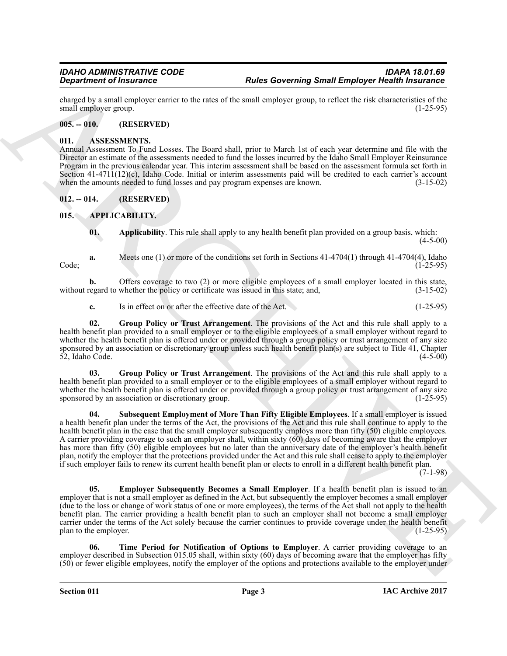charged by a small employer carrier to the rates of the small employer group, to reflect the risk characteristics of the small employer group.

# <span id="page-2-0"></span>**005. -- 010. (RESERVED)**

## <span id="page-2-10"></span><span id="page-2-1"></span>**011. ASSESSMENTS.**

Annual Assessment To Fund Losses. The Board shall, prior to March 1st of each year determine and file with the Director an estimate of the assessments needed to fund the losses incurred by the Idaho Small Employer Reinsurance Program in the previous calendar year. This interim assessment shall be based on the assessment formula set forth in Section 41-4711(12)(c), Idaho Code. Initial or interim assessments paid will be credited to each carrier's account when the amounts needed to fund losses and pay program expenses are known. (3-15-02)

# <span id="page-2-2"></span>**012. -- 014. (RESERVED)**

# <span id="page-2-3"></span>**015. APPLICABILITY.**

<span id="page-2-5"></span><span id="page-2-4"></span>**01. Applicability**. This rule shall apply to any health benefit plan provided on a group basis, which:  $(4-5-00)$ 

**a.** Meets one (1) or more of the conditions set forth in Sections 41-4704(1) through 41-4704(4), Idaho (1-25-95) Code; (1-25-95)

**b.** Offers coverage to two (2) or more eligible employees of a small employer located in this state, egard to whether the policy or certificate was issued in this state; and,  $(3-15-02)$ without regard to whether the policy or certificate was issued in this state; and,

<span id="page-2-7"></span>**c.** Is in effect on or after the effective date of the Act. (1-25-95)

**02. Group Policy or Trust Arrangement**. The provisions of the Act and this rule shall apply to a health benefit plan provided to a small employer or to the eligible employees of a small employer without regard to whether the health benefit plan is offered under or provided through a group policy or trust arrangement of any size sponsored by an association or discretionary group unless such health benefit plan(s) are subject to Title 41, Chapter 52, Idaho Code.  $(4-5-00)$  $52$ , Idaho Code.

<span id="page-2-8"></span>**03. Group Policy or Trust Arrangement**. The provisions of the Act and this rule shall apply to a health benefit plan provided to a small employer or to the eligible employees of a small employer without regard to whether the health benefit plan is offered under or provided through a group policy or trust arrangement of any size sponsored by an association or discretionary group. (1-25-95)

**Proposition of Protoconoon Constraint Constraint Constraint Constraint Constraint Constraint Constraint Constraint Constraint Constraint Constraint Constraint Constraint Constraint Constraint Constraint Constraint Constr 04. Subsequent Employment of More Than Fifty Eligible Employees**. If a small employer is issued a health benefit plan under the terms of the Act, the provisions of the Act and this rule shall continue to apply to the health benefit plan in the case that the small employer subsequently employs more than fifty (50) eligible employees. A carrier providing coverage to such an employer shall, within sixty (60) days of becoming aware that the employer has more than fifty (50) eligible employees but no later than the anniversary date of the employer's health benefit plan, notify the employer that the protections provided under the Act and this rule shall cease to apply to the employer if such employer fails to renew its current health benefit plan or elects to enroll in a different health benefit plan.

 $(7-1-98)$ 

<span id="page-2-6"></span>**Employer Subsequently Becomes a Small Employer**. If a health benefit plan is issued to an employer that is not a small employer as defined in the Act, but subsequently the employer becomes a small employer (due to the loss or change of work status of one or more employees), the terms of the Act shall not apply to the health benefit plan. The carrier providing a health benefit plan to such an employer shall not become a small employer carrier under the terms of the Act solely because the carrier continues to provide coverage under the health benefit plan to the employer. (1-25-95) plan to the employer.

<span id="page-2-9"></span>**06. Time Period for Notification of Options to Employer**. A carrier providing coverage to an employer described in Subsection 015.05 shall, within sixty (60) days of becoming aware that the employer has fifty (50) or fewer eligible employees, notify the employer of the options and protections available to the employer under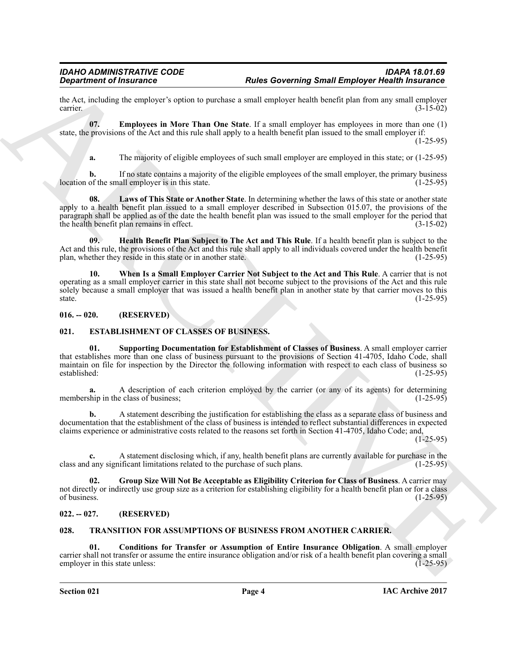the Act, including the employer's option to purchase a small employer health benefit plan from any small employer carrier.<br>(3-15-02)  $\frac{1}{3}$  carrier. (3-15-02)

**07. Employees in More Than One State**. If a small employer has employees in more than one (1) state, the provisions of the Act and this rule shall apply to a health benefit plan issued to the small employer if:

(1-25-95)

<span id="page-3-6"></span><span id="page-3-4"></span>**a.** The majority of eligible employees of such small employer are employed in this state; or (1-25-95)

**b.** If no state contains a majority of the eligible employees of the small employer, the primary business of the small employer is in this state. location of the small employer is in this state.

**Experiment of Franconics<sup>20</sup> The State Basebase and conjective to the state of European State Constrainers (Eastern Constrainers (Eastern Constrainers (Eastern Constrainers (Eastern Constrainers (Eastern Constrainers (Ea 08. Laws of This State or Another State**. In determining whether the laws of this state or another state apply to a health benefit plan issued to a small employer described in Subsection 015.07, the provisions of the paragraph shall be applied as of the date the health benefit plan was issued to the small employer for the period that the health benefit plan remains in effect. (3-15-02) the health benefit plan remains in effect.

<span id="page-3-5"></span>**09. Health Benefit Plan Subject to The Act and This Rule**. If a health benefit plan is subject to the Act and this rule, the provisions of the Act and this rule shall apply to all individuals covered under the health benefit plan, whether they reside in this state or in another state. plan, whether they reside in this state or in another state.

<span id="page-3-7"></span>**10. When Is a Small Employer Carrier Not Subject to the Act and This Rule**. A carrier that is not operating as a small employer carrier in this state shall not become subject to the provisions of the Act and this rule solely because a small employer that was issued a health benefit plan in another state by that carrier moves to this state.  $(1-25-95)$ 

# <span id="page-3-0"></span>**016. -- 020. (RESERVED)**

# <span id="page-3-8"></span><span id="page-3-1"></span>**021. ESTABLISHMENT OF CLASSES OF BUSINESS.**

<span id="page-3-10"></span>**01. Supporting Documentation for Establishment of Classes of Business**. A small employer carrier that establishes more than one class of business pursuant to the provisions of Section 41-4705, Idaho Code, shall maintain on file for inspection by the Director the following information with respect to each class of business so established: (1-25-95) established: (1-25-95)

**a.** A description of each criterion employed by the carrier (or any of its agents) for determining thin in the class of business: membership in the class of business;

**b.** A statement describing the justification for establishing the class as a separate class of business and documentation that the establishment of the class of business is intended to reflect substantial differences in expected claims experience or administrative costs related to the reasons set forth in Section 41-4705, Idaho Code; and,

 $(1-25-95)$ 

**c.** A statement disclosing which, if any, health benefit plans are currently available for purchase in the lany significant limitations related to the purchase of such plans. (1-25-95) class and any significant limitations related to the purchase of such plans.

<span id="page-3-9"></span>**02. Group Size Will Not Be Acceptable as Eligibility Criterion for Class of Business**. A carrier may not directly or indirectly use group size as a criterion for establishing eligibility for a health benefit plan or for a class<br>(1-25-95) of business.  $(1-25-95)$ 

# <span id="page-3-2"></span>**022. -- 027. (RESERVED)**

# <span id="page-3-11"></span><span id="page-3-3"></span>**028. TRANSITION FOR ASSUMPTIONS OF BUSINESS FROM ANOTHER CARRIER.**

<span id="page-3-12"></span>**01. Conditions for Transfer or Assumption of Entire Insurance Obligation**. A small employer carrier shall not transfer or assume the entire insurance obligation and/or risk of a health benefit plan covering a small employer in this state unless: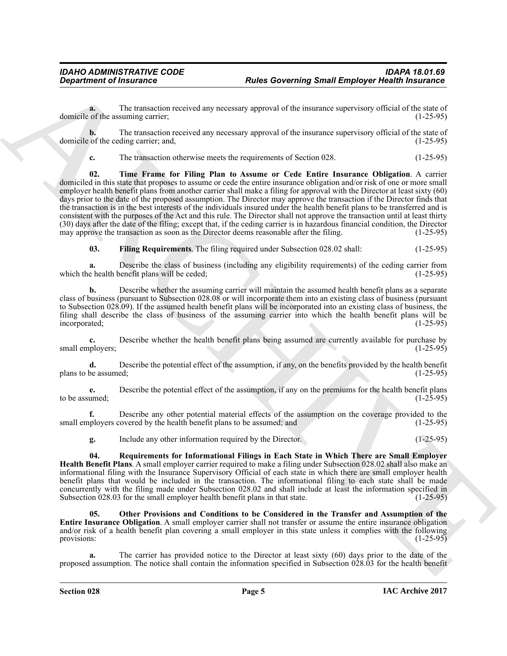**a.** The transaction received any necessary approval of the insurance supervisory official of the state of of the assuming carrier: (1-25-95) domicile of the assuming carrier;

**b.** The transaction received any necessary approval of the insurance supervisory official of the state of of the ceding carrier; and,  $(1-25-95)$ domicile of the ceding carrier; and,

<span id="page-4-3"></span>**c.** The transaction otherwise meets the requirements of Section 028. (1-25-95)

**Experiment of framework converted by the system of the system of the system of the transformation of the system of the system of the system of the system of the system of the system of the system of the system of the sys 02. Time Frame for Filing Plan to Assume or Cede Entire Insurance Obligation**. A carrier domiciled in this state that proposes to assume or cede the entire insurance obligation and/or risk of one or more small employer health benefit plans from another carrier shall make a filing for approval with the Director at least sixty (60) days prior to the date of the proposed assumption. The Director may approve the transaction if the Director finds that the transaction is in the best interests of the individuals insured under the health benefit plans to be transferred and is consistent with the purposes of the Act and this rule. The Director shall not approve the transaction until at least thirty (30) days after the date of the filing; except that, if the ceding carrier is in hazardous financial condition, the Director may approve the transaction as soon as the Director deems reasonable after the filing. (1-25-95) may approve the transaction as soon as the Director deems reasonable after the filing.

<span id="page-4-0"></span>**03. Filing Requirements**. The filing required under Subsection 028.02 shall: (1-25-95)

**a.** Describe the class of business (including any eligibility requirements) of the ceding carrier from e health benefit plans will be ceded: (1-25-95) which the health benefit plans will be ceded;

**b.** Describe whether the assuming carrier will maintain the assumed health benefit plans as a separate class of business (pursuant to Subsection 028.08 or will incorporate them into an existing class of business (pursuant to Subsection 028.09). If the assumed health benefit plans will be incorporated into an existing class of business, the filing shall describe the class of business of the assuming carrier into which the health benefit plans will be incorporated; (1-25-95)

**c.** Describe whether the health benefit plans being assumed are currently available for purchase by ployers; (1-25-95) small employers;

**d.** Describe the potential effect of the assumption, if any, on the benefits provided by the health benefit plans to be assumed; (1-25-95)

**e.** Describe the potential effect of the assumption, if any on the premiums for the health benefit plans to be assumed:  $(1-25-95)$ to be assumed;  $(1-25-95)$ 

**f.** Describe any other potential material effects of the assumption on the coverage provided to the ployers covered by the health benefit plans to be assumed; and (1-25-95) small employers covered by the health benefit plans to be assumed; and

<span id="page-4-2"></span>**g.** Include any other information required by the Director. (1-25-95)

**04. Requirements for Informational Filings in Each State in Which There are Small Employer Health Benefit Plans**. A small employer carrier required to make a filing under Subsection 028.02 shall also make an informational filing with the Insurance Supervisory Official of each state in which there are small employer health benefit plans that would be included in the transaction. The informational filing to each state shall be made concurrently with the filing made under Subsection 028.02 and shall include at least the information specified in Subsection 028.03 for the small employer health benefit plans in that state. (1-25-95)

<span id="page-4-1"></span>**05. Other Provisions and Conditions to be Considered in the Transfer and Assumption of the Entire Insurance Obligation**. A small employer carrier shall not transfer or assume the entire insurance obligation and/or risk of a health benefit plan covering a small employer in this state unless it complies with the following provisions:<br>(1-25-95) provisions:  $(1-25-95)$ 

**a.** The carrier has provided notice to the Director at least sixty (60) days prior to the date of the proposed assumption. The notice shall contain the information specified in Subsection 028.03 for the health benefit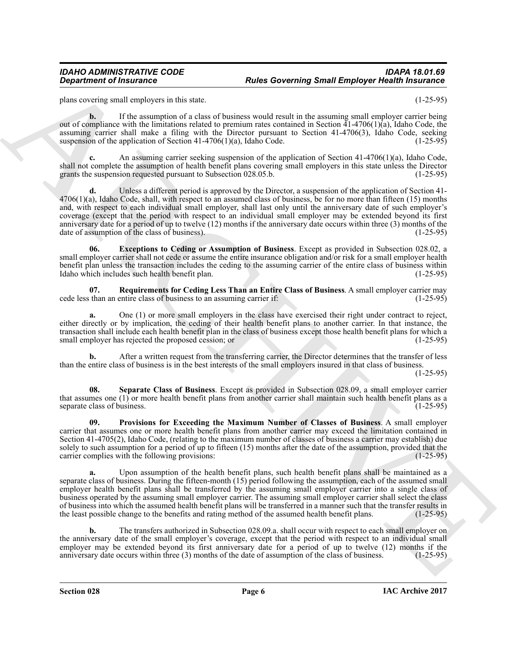plans covering small employers in this state. (1-25-95)

**b.** If the assumption of a class of business would result in the assuming small employer carrier being out of compliance with the limitations related to premium rates contained in Section  $41-4706(1)(a)$ , Idaho Code, the assuming carrier shall make a filing with the Director pursuant to Section 41-4706(3), Idaho Code, seeking suspension of the application of Section 41-4706(1)(a), Idaho Code.  $(1-25-95)$ suspension of the application of Section 41-4706(1)(a), Idaho Code.

**c.** An assuming carrier seeking suspension of the application of Section 41-4706(1)(a), Idaho Code, shall not complete the assumption of health benefit plans covering small employers in this state unless the Director grants the suspension requested pursuant to Subsection 028.05.b. (1-25-95)

**Poise constraint of Friedrich Constraint Constraint Constraint Constraint Constraint Constraint Constraint Constraint Constraint Constraint Constraint Constraint Constraint Constraint Constraint Constraint Constraint Con** Unless a different period is approved by the Director, a suspension of the application of Section 41-4706(1)(a), Idaho Code, shall, with respect to an assumed class of business, be for no more than fifteen (15) months and, with respect to each individual small employer, shall last only until the anniversary date of such employer's coverage (except that the period with respect to an individual small employer may be extended beyond its first anniversary date for a period of up to twelve (12) months if the anniversary date occurs within three (3) months of the date of assumption of the class of business). date of assumption of the class of business).

<span id="page-5-0"></span>**06. Exceptions to Ceding or Assumption of Business**. Except as provided in Subsection 028.02, a small employer carrier shall not cede or assume the entire insurance obligation and/or risk for a small employer health benefit plan unless the transaction includes the ceding to the assuming carrier of the entire class of business within Idaho which includes such health benefit plan. (1-25-95) Idaho which includes such health benefit plan.

<span id="page-5-2"></span>**07.** Requirements for Ceding Less Than an Entire Class of Business. A small employer carrier may than an entire class of business to an assuming carrier if: cede less than an entire class of business to an assuming carrier if:

**a.** One (1) or more small employers in the class have exercised their right under contract to reject, either directly or by implication, the ceding of their health benefit plans to another carrier. In that instance, the transaction shall include each health benefit plan in the class of business except those health benefit plans for which a small employer has rejected the proposed cession; or (1-25-95)

**b.** After a written request from the transferring carrier, the Director determines that the transfer of less than the entire class of business is in the best interests of the small employers insured in that class of business.

(1-25-95)

<span id="page-5-3"></span>**08. Separate Class of Business**. Except as provided in Subsection 028.09, a small employer carrier that assumes one  $(1)$  or more health benefit plans from another carrier shall maintain such health benefit plans as a separate class of business. separate class of business.

<span id="page-5-1"></span>**09. Provisions for Exceeding the Maximum Number of Classes of Business**. A small employer carrier that assumes one or more health benefit plans from another carrier may exceed the limitation contained in Section 41-4705(2), Idaho Code, (relating to the maximum number of classes of business a carrier may establish) due solely to such assumption for a period of up to fifteen (15) months after the date of the assumption, provided that the carrier complies with the following provisions: (1-25-95) carrier complies with the following provisions:

Upon assumption of the health benefit plans, such health benefit plans shall be maintained as a separate class of business. During the fifteen-month (15) period following the assumption, each of the assumed small employer health benefit plans shall be transferred by the assuming small employer carrier into a single class of business operated by the assuming small employer carrier. The assuming small employer carrier shall select the class of business into which the assumed health benefit plans will be transferred in a manner such that the transfer results in the least possible change to the benefits and rating method of the assumed health benefit plans. (1the least possible change to the benefits and rating method of the assumed health benefit plans.

**b.** The transfers authorized in Subsection 028.09.a. shall occur with respect to each small employer on the anniversary date of the small employer's coverage, except that the period with respect to an individual small employer may be extended beyond its first anniversary date for a period of up to twelve  $(12)$  months if the anniversary date occurs within three  $(3)$  months of the date of assumption of the class of business.  $(1-25-95)$ anniversary date occurs within three (3) months of the date of assumption of the class of business.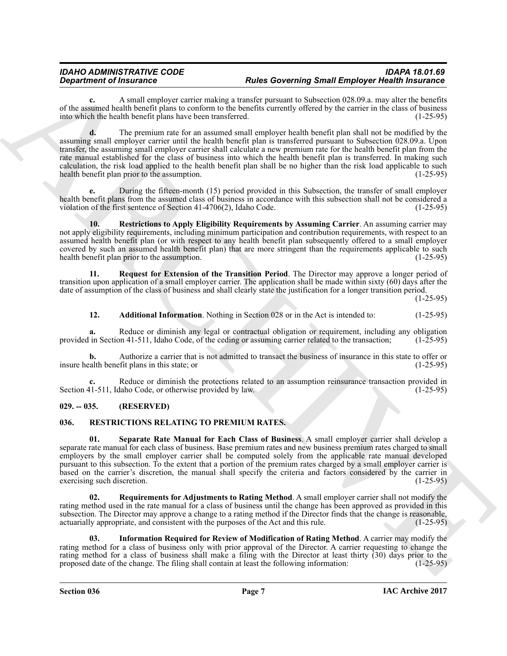**c.** A small employer carrier making a transfer pursuant to Subsection 028.09.a. may alter the benefits of the assumed health benefit plans to conform to the benefits currently offered by the carrier in the class of business<br>into which the health benefit plans have been transferred. (1-25-95) into which the health benefit plans have been transferred.

*General formation* of the matter of the state of the state of the properties of the state in the state of the state of the state of the state of the state of the state of the state of the state of the state of the stat **d.** The premium rate for an assumed small employer health benefit plan shall not be modified by the assuming small employer carrier until the health benefit plan is transferred pursuant to Subsection 028.09.a. Upon transfer, the assuming small employer carrier shall calculate a new premium rate for the health benefit plan from the rate manual established for the class of business into which the health benefit plan is transferred. In making such calculation, the risk load applied to the health benefit plan shall be no higher than the risk load applicable to such health benefit plan prior to the assumption. (1-25-95)

**e.** During the fifteen-month (15) period provided in this Subsection, the transfer of small employer health benefit plans from the assumed class of business in accordance with this subsection shall not be considered a violation of the first sentence of Section 41-4706(2), Idaho Code. (1-25-95) violation of the first sentence of Section  $41-4706(2)$ , Idaho Code.

<span id="page-6-8"></span>**10. Restrictions to Apply Eligibility Requirements by Assuming Carrier**. An assuming carrier may not apply eligibility requirements, including minimum participation and contribution requirements, with respect to an assumed health benefit plan (or with respect to any health benefit plan subsequently offered to a small employer covered by such an assumed health benefit plan) that are more stringent than the requirements applicable to such health benefit plan prior to the assumption. (1-25-95) health benefit plan prior to the assumption.

**11. Request for Extension of the Transition Period**. The Director may approve a longer period of transition upon application of a small employer carrier. The application shall be made within sixty (60) days after the date of assumption of the class of business and shall clearly state the justification for a longer transition period.

(1-25-95)

# <span id="page-6-7"></span><span id="page-6-6"></span>**12. Additional Information**. Nothing in Section 028 or in the Act is intended to: (1-25-95)

**a.** Reduce or diminish any legal or contractual obligation or requirement, including any obligation in Section 41-511, Idaho Code, of the ceding or assuming carrier related to the transaction; (1-25-95) provided in Section 41-511, Idaho Code, of the ceding or assuming carrier related to the transaction;

**b.** Authorize a carrier that is not admitted to transact the business of insurance in this state to offer or alth benefit plans in this state; or insure health benefit plans in this state; or

Reduce or diminish the protections related to an assumption reinsurance transaction provided in daho Code, or otherwise provided by law. (1-25-95) Section 41-511, Idaho Code, or otherwise provided by law.

# <span id="page-6-0"></span>**029. -- 035. (RESERVED)**

# <span id="page-6-2"></span><span id="page-6-1"></span>**036. RESTRICTIONS RELATING TO PREMIUM RATES.**

<span id="page-6-5"></span>**01. Separate Rate Manual for Each Class of Business**. A small employer carrier shall develop a separate rate manual for each class of business. Base premium rates and new business premium rates charged to small employers by the small employer carrier shall be computed solely from the applicable rate manual developed pursuant to this subsection. To the extent that a portion of the premium rates charged by a small employer carrier is based on the carrier's discretion, the manual shall specify the criteria and factors considered by the carrier in exercising such discretion.

<span id="page-6-4"></span>**02. Requirements for Adjustments to Rating Method**. A small employer carrier shall not modify the rating method used in the rate manual for a class of business until the change has been approved as provided in this subsection. The Director may approve a change to a rating method if the Director finds that the change is reasonable, actuarially appropriate, and consistent with the purposes of the Act and this rule. (1-25-95)

<span id="page-6-3"></span>**03. Information Required for Review of Modification of Rating Method**. A carrier may modify the rating method for a class of business only with prior approval of the Director. A carrier requesting to change the rating method for a class of business shall make a filing with the Director at least thirty  $(30)$  days prior to the proposed date of the change. The filing shall contain at least the following information:  $(1-25-95)$ proposed date of the change. The filing shall contain at least the following information: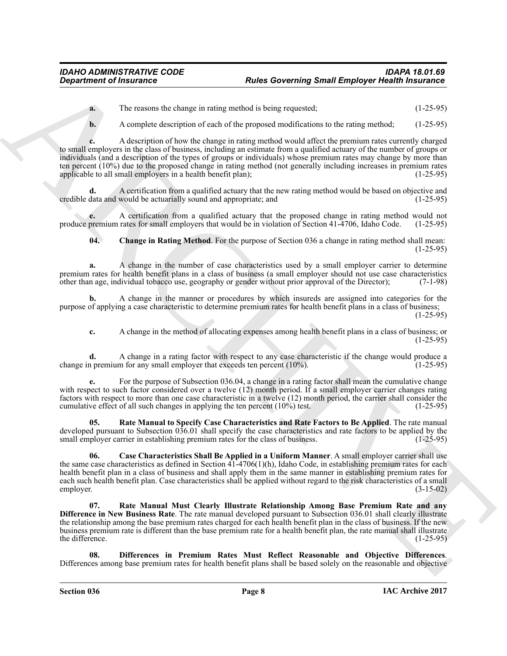**a.** The reasons the change in rating method is being requested; (1-25-95)

**b.** A complete description of each of the proposed modifications to the rating method: (1-25-95)

**Experiment of fractronic Contrast in the state Governing Small Employer Health interactions<br>
The transmission interference in the state of the state of the state of the state of the state of the state of the state of the c.** A description of how the change in rating method would affect the premium rates currently charged to small employers in the class of business, including an estimate from a qualified actuary of the number of groups or individuals (and a description of the types of groups or individuals) whose premium rates may change by more than ten percent (10%) due to the proposed change in rating method (not generally including increases in premium rates applicable to all small employers in a health benefit plan); (1-25-95)

**d.** A certification from a qualified actuary that the new rating method would be based on objective and credible data and would be actuarially sound and appropriate; and

**e.** A certification from a qualified actuary that the proposed change in rating method would not premium rates for small employers that would be in violation of Section 41-4706, Idaho Code. (1-25-95) produce premium rates for small employers that would be in violation of Section 41-4706, Idaho Code.

<span id="page-7-1"></span>**04. Change in Rating Method**. For the purpose of Section 036 a change in rating method shall mean:  $(1-25-95)$ 

**a.** A change in the number of case characteristics used by a small employer carrier to determine premium rates for health benefit plans in a class of business (a small employer should not use case characteristics other than age, individual tobacco use, geography or gender without prior approval of the Director); (7-1other than age, individual tobacco use, geography or gender without prior approval of the Director); (7-1-98)

**b.** A change in the manner or procedures by which insureds are assigned into categories for the purpose of applying a case characteristic to determine premium rates for health benefit plans in a class of business; (1-25-95)

**c.** A change in the method of allocating expenses among health benefit plans in a class of business; or (1-25-95)

**d.** A change in a rating factor with respect to any case characteristic if the change would produce a n premium for any small employer that exceeds ten percent (10%). change in premium for any small employer that exceeds ten percent  $(10\%)$ .

**e.** For the purpose of Subsection 036.04, a change in a rating factor shall mean the cumulative change with respect to such factor considered over a twelve (12) month period. If a small employer carrier changes rating factors with respect to more than one case characteristic in a twelve (12) month period, the carrier shall consider the cumulative effect of all such changes in applying the ten percent  $(10\%)$  test.

<span id="page-7-4"></span>**05. Rate Manual to Specify Case Characteristics and Rate Factors to Be Applied**. The rate manual developed pursuant to Subsection 036.01 shall specify the case characteristics and rate factors to be applied by the small employer carrier in establishing premium rates for the class of business. (1-25-95) small employer carrier in establishing premium rates for the class of business.

<span id="page-7-0"></span>**06. Case Characteristics Shall Be Applied in a Uniform Manner**. A small employer carrier shall use the same case characteristics as defined in Section 41-4706(1)(h), Idaho Code, in establishing premium rates for each health benefit plan in a class of business and shall apply them in the same manner in establishing premium rates for each such health benefit plan. Case characteristics shall be applied without regard to the risk characteristics of a small employer.  $(3-15-02)$ 

<span id="page-7-3"></span>**07. Rate Manual Must Clearly Illustrate Relationship Among Base Premium Rate and any Difference in New Business Rate**. The rate manual developed pursuant to Subsection 036.01 shall clearly illustrate the relationship among the base premium rates charged for each health benefit plan in the class of business. If the new business premium rate is different than the base premium rate for a health benefit plan, the rate manual shall illustrate the difference.

<span id="page-7-2"></span>**08. Differences in Premium Rates Must Reflect Reasonable and Objective Differences**. Differences among base premium rates for health benefit plans shall be based solely on the reasonable and objective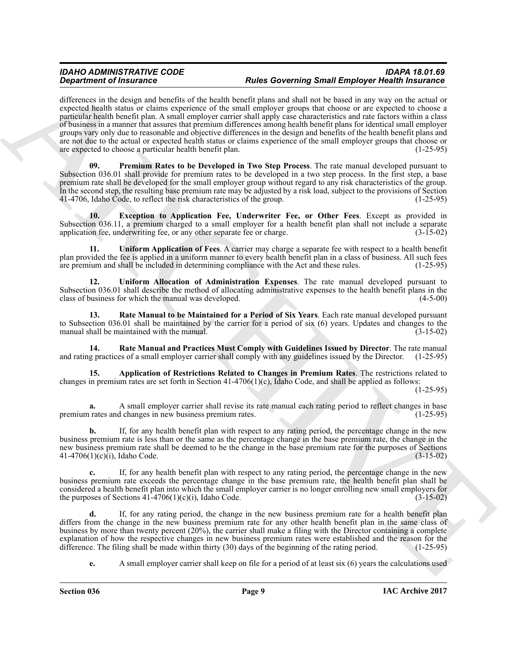**Stationary of Francesco Constraints and European Schwarz (European Schwarz (European Schwarz (European Schwarz (European Schwarz (European Schwarz (European Schwarz (European Schwarz (European Schwarz (European Schwarz (** differences in the design and benefits of the health benefit plans and shall not be based in any way on the actual or expected health status or claims experience of the small employer groups that choose or are expected to choose a particular health benefit plan. A small employer carrier shall apply case characteristics and rate factors within a class of business in a manner that assures that premium differences among health benefit plans for identical small employer groups vary only due to reasonable and objective differences in the design and benefits of the health benefit plans and are not due to the actual or expected health status or claims experience of the small employer groups that choose or<br>are expected to choose a particular health benefit plan. are expected to choose a particular health benefit plan.

<span id="page-8-2"></span>**Premium Rates to be Developed in Two Step Process**. The rate manual developed pursuant to Subsection 036.01 shall provide for premium rates to be developed in a two step process. In the first step, a base premium rate shall be developed for the small employer group without regard to any risk characteristics of the group. In the second step, the resulting base premium rate may be adjusted by a risk load, subject to the provisions of Section 41-4706. Idaho Code, to reflect the risk characteristics of the group. (1-25-95) 41-4706, Idaho Code, to reflect the risk characteristics of the group.

<span id="page-8-1"></span>**10. Exception to Application Fee, Underwriter Fee, or Other Fees**. Except as provided in Subsection 036.11, a premium charged to a small employer for a health benefit plan shall not include a separate application fee, underwriting fee, or any other separate fee or charge. (3-15-02) application fee, underwriting fee, or any other separate fee or charge.

<span id="page-8-6"></span>**11. Uniform Application of Fees**. A carrier may charge a separate fee with respect to a health benefit plan provided the fee is applied in a uniform manner to every health benefit plan in a class of business. All such fees are premium and shall be included in determining compliance with the Act and these rules. (1-25-95) are premium and shall be included in determining compliance with the Act and these rules.

<span id="page-8-5"></span>**12. Uniform Allocation of Administration Expenses**. The rate manual developed pursuant to Subsection 036.01 shall describe the method of allocating administrative expenses to the health benefit plans in the class of business for which the manual was developed. (4-5-00)

<span id="page-8-4"></span>**13. Rate Manual to be Maintained for a Period of Six Years**. Each rate manual developed pursuant to Subsection 036.01 shall be maintained by the carrier for a period of six (6) years. Updates and changes to the manual shall be maintained with the manual. (3-15-02) manual shall be maintained with the manual.

<span id="page-8-3"></span>**14. Rate Manual and Practices Must Comply with Guidelines Issued by Director**. The rate manual g practices of a small employer carrier shall comply with any guidelines issued by the Director. (1-25-95) and rating practices of a small employer carrier shall comply with any guidelines issued by the Director.

<span id="page-8-0"></span>**15. Application of Restrictions Related to Changes in Premium Rates**. The restrictions related to changes in premium rates are set forth in Section 41-4706(1)(c), Idaho Code, and shall be applied as follows:

(1-25-95)

**a.** A small employer carrier shall revise its rate manual each rating period to reflect changes in base rates and changes in new business premium rates. (1-25-95) premium rates and changes in new business premium rates.

**b.** If, for any health benefit plan with respect to any rating period, the percentage change in the new business premium rate is less than or the same as the percentage change in the base premium rate, the change in the new business premium rate shall be deemed to be the change in the base premium rate for the purposes of Sections 41-4706(1)(c)(i), Idaho Code. (3-15-02) 41-4706(1)(c) $(i)$ , Idaho Code.

**c.** If, for any health benefit plan with respect to any rating period, the percentage change in the new business premium rate exceeds the percentage change in the base premium rate, the health benefit plan shall be considered a health benefit plan into which the small employer carrier is no longer enrolling new small employers for<br>the purposes of Sections 41-4706(1)(c)(i), Idaho Code.  $(3-15-02)$ the purposes of Sections  $41-4706(1)(c)(i)$ , Idaho Code.

**d.** If, for any rating period, the change in the new business premium rate for a health benefit plan differs from the change in the new business premium rate for any other health benefit plan in the same class of business by more than twenty percent (20%), the carrier shall make a filing with the Director containing a complete explanation of how the respective changes in new business premium rates were established and the reason for the difference. The filing shall be made within thirty (30) days of the beginning of the rating period. (1-25-95) difference. The filing shall be made within thirty  $(30)$  days of the beginning of the rating period.

**e.** A small employer carrier shall keep on file for a period of at least six (6) years the calculations used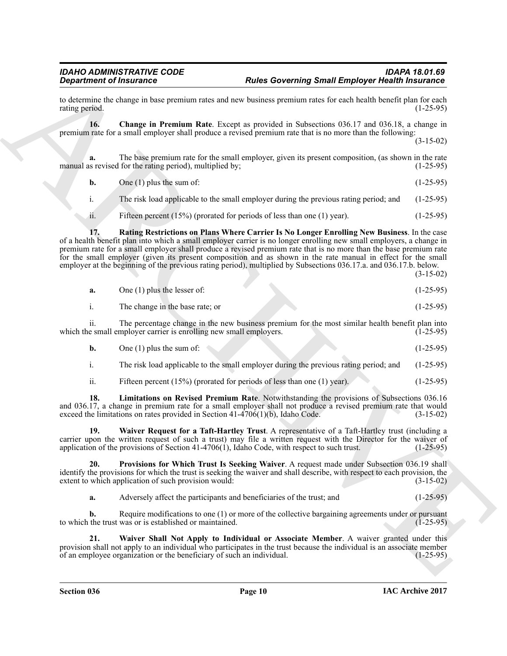to determine the change in base premium rates and new business premium rates for each health benefit plan for each rating period. (1-25-95) rating period.

<span id="page-9-0"></span>**16. Change in Premium Rate**. Except as provided in Subsections 036.17 and 036.18, a change in premium rate for a small employer shall produce a revised premium rate that is no more than the following:

(3-15-02)

**a.** The base premium rate for the small employer, given its present composition, (as shown in the rate is revised for the rating period), multiplied by: manual as revised for the rating period), multiplied by;

**b.** One (1) plus the sum of:  $(1-25-95)$ 

i. The risk load applicable to the small employer during the previous rating period; and (1-25-95)

<span id="page-9-3"></span>ii. Fifteen percent (15%) (prorated for periods of less than one (1) year). (1-25-95)

**Experiment of Friedmannics**<br> **Profits the matter of the control of the General of the Society and The Properties of the control of the system of the system of the system of the system of the system of the system of the s 17. Rating Restrictions on Plans Where Carrier Is No Longer Enrolling New Business**. In the case of a health benefit plan into which a small employer carrier is no longer enrolling new small employers, a change in premium rate for a small employer shall produce a revised premium rate that is no more than the base premium rate for the small employer (given its present composition and as shown in the rate manual in effect for the small employer at the beginning of the previous rating period), multiplied by Subsections 036.17.a. and 036.17.b. below. (3-15-02)

|  | One $(1)$ plus the lesser of: |  | $(1-25-95)$ |
|--|-------------------------------|--|-------------|
|--|-------------------------------|--|-------------|

| The change in the base rate; or | $(1-25-95)$ |
|---------------------------------|-------------|
|                                 |             |

ii. The percentage change in the new business premium for the most similar health benefit plan into e small employer carrier is enrolling new small employers. (1-25-95) which the small employer carrier is enrolling new small employers.

| <b>b.</b> | One $(1)$ plus the sum of: |  |  |  |  | $(1-25-95)$ |  |
|-----------|----------------------------|--|--|--|--|-------------|--|
|-----------|----------------------------|--|--|--|--|-------------|--|

i. The risk load applicable to the small employer during the previous rating period; and (1-25-95)

<span id="page-9-4"></span><span id="page-9-1"></span>ii. Fifteen percent (15%) (prorated for periods of less than one (1) year). (1-25-95)

**18. Limitations on Revised Premium Rate**. Notwithstanding the provisions of Subsections 036.16 and 036.17, a change in premium rate for a small employer shall not produce a revised premium rate that would exceed the limitations on rates provided in Section  $41-4706(1)(b)$ , Idaho Code. (3-15-02) exceed the limitations on rates provided in Section 41-4706(1)(b), Idaho Code.

**19. Waiver Request for a Taft-Hartley Trust**. A representative of a Taft-Hartley trust (including a carrier upon the written request of such a trust) may file a written request with the Director for the waiver of application of the provisions of Section 41-4706(1), Idaho Code, with respect to such trust. (1-25-95)

**20. Provisions for Which Trust Is Seeking Waiver**. A request made under Subsection 036.19 shall identify the provisions for which the trust is seeking the waiver and shall describe, with respect to each provision, the extent to which application of such provision would:  $(3-15-02)$ extent to which application of such provision would:

<span id="page-9-5"></span><span id="page-9-2"></span>**a.** Adversely affect the participants and beneficiaries of the trust; and  $(1-25-95)$ 

**b.** Require modifications to one (1) or more of the collective bargaining agreements under or pursuant to which the trust was or is established or maintained. (1-25-95)

**21. Waiver Shall Not Apply to Individual or Associate Member**. A waiver granted under this provision shall not apply to an individual who participates in the trust because the individual is an associate member<br>of an employee organization or the beneficiary of such an individual. (1-25-95) of an employee organization or the beneficiary of such an individual.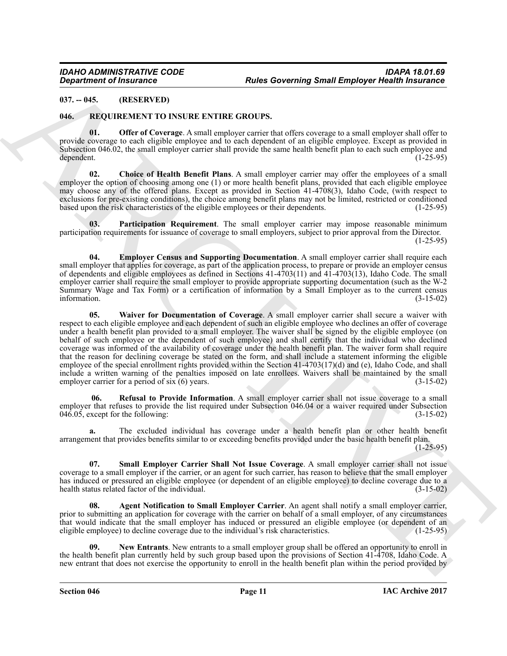# <span id="page-10-0"></span>**037. -- 045. (RESERVED)**

# <span id="page-10-7"></span><span id="page-10-2"></span><span id="page-10-1"></span>**046. REQUIREMENT TO INSURE ENTIRE GROUPS.**

**01. Offer of Coverage**. A small employer carrier that offers coverage to a small employer shall offer to provide coverage to each eligible employee and to each dependent of an eligible employee. Except as provided in Subsection 046.02, the small employer carrier shall provide the same health benefit plan to each such employee and dependent. dependent. (1-25-95)

<span id="page-10-4"></span>**02. Choice of Health Benefit Plans**. A small employer carrier may offer the employees of a small employer the option of choosing among one (1) or more health benefit plans, provided that each eligible employee may choose any of the offered plans. Except as provided in Section 41-4708(3), Idaho Code, (with respect to exclusions for pre-existing conditions), the choice among benefit plans may not be limited, restricted or conditioned based upon the risk characteristics of the eligible employees or their dependents. (1-25-95) based upon the risk characteristics of the eligible employees or their dependents.

<span id="page-10-8"></span>**03. Participation Requirement**. The small employer carrier may impose reasonable minimum participation requirements for issuance of coverage to small employers, subject to prior approval from the Director. (1-25-95)

<span id="page-10-11"></span><span id="page-10-5"></span>**04. Employer Census and Supporting Documentation**. A small employer carrier shall require each small employer that applies for coverage, as part of the application process, to prepare or provide an employer census of dependents and eligible employees as defined in Sections 41-4703(11) and 41-4703(13), Idaho Code. The small employer carrier shall require the small employer to provide appropriate supporting documentation (such as the W-2 Summary Wage and Tax Form) or a certification of information by a Small Employer as to the current census information. (3-15-02)

Best Content of Francesco Company Real Soverning Small Employer Health interament<br>
But St. (HARCHIVES) (1982) The Content of Content of Content of Content of Content of Content of Content of Content of Content of Content **05. Waiver for Documentation of Coverage**. A small employer carrier shall secure a waiver with respect to each eligible employee and each dependent of such an eligible employee who declines an offer of coverage under a health benefit plan provided to a small employer. The waiver shall be signed by the eligible employee (on behalf of such employee or the dependent of such employee) and shall certify that the individual who declined coverage was informed of the availability of coverage under the health benefit plan. The waiver form shall require that the reason for declining coverage be stated on the form, and shall include a statement informing the eligible employee of the special enrollment rights provided within the Section 41-4703(17)(d) and (e), Idaho Code, and shall include a written warning of the penalties imposed on late enrollees. Waivers shall be maintained by the small employer carrier for a period of  $six(6)$  years.

<span id="page-10-9"></span> **06. Refusal to Provide Information**. A small employer carrier shall not issue coverage to a small employer that refuses to provide the list required under Subsection 046.04 or a waiver required under Subsection  $046.05$ , except for the following: (3-15-02)

**a.** The excluded individual has coverage under a health benefit plan or other health benefit arrangement that provides benefits similar to or exceeding benefits provided under the basic health benefit plan.  $(1 - 25 - 95)$ 

<span id="page-10-10"></span>**07. Small Employer Carrier Shall Not Issue Coverage**. A small employer carrier shall not issue coverage to a small employer if the carrier, or an agent for such carrier, has reason to believe that the small employer has induced or pressured an eligible employee (or dependent of an eligible employee) to decline coverage due to a health status related factor of the individual. (3-15-02)

<span id="page-10-3"></span>**08. Agent Notification to Small Employer Carrier**. An agent shall notify a small employer carrier, prior to submitting an application for coverage with the carrier on behalf of a small employer, of any circumstances that would indicate that the small employer has induced or pressured an eligible employee (or dependent of an eligible employee) to decline coverage due to the individual's risk characteristics. (1-25-95) eligible employee) to decline coverage due to the individual's risk characteristics.

<span id="page-10-6"></span>**09. New Entrants**. New entrants to a small employer group shall be offered an opportunity to enroll in the health benefit plan currently held by such group based upon the provisions of Section 41-4708, Idaho Code. A new entrant that does not exercise the opportunity to enroll in the health benefit plan within the period provided by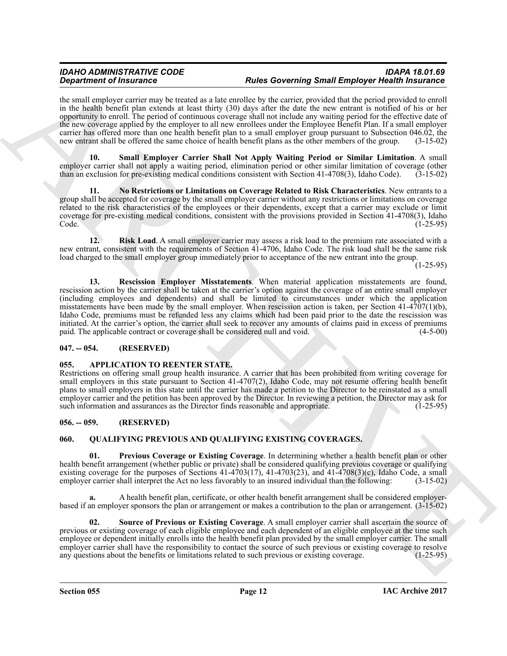the small employer carrier may be treated as a late enrollee by the carrier, provided that the period provided to enroll in the health benefit plan extends at least thirty (30) days after the date the new entrant is notified of his or her opportunity to enroll. The period of continuous coverage shall not include any waiting period for the effective date of the new coverage applied by the employer to all new enrollees under the Employee Benefit Plan. If a small employer carrier has offered more than one health benefit plan to a small employer group pursuant to Subsection 046.02, the new entrant shall be offered the same choice of health benefit plans as the other members of the group. (3-15-02)

<span id="page-11-11"></span>**10. Small Employer Carrier Shall Not Apply Waiting Period or Similar Limitation**. A small employer carrier shall not apply a waiting period, elimination period or other similar limitation of coverage (other than an exclusion for pre-existing medical conditions consistent with Section 41-4708(3), Idaho Code). (3-15-02)

<span id="page-11-8"></span>**11. No Restrictions or Limitations on Coverage Related to Risk Characteristics**. New entrants to a group shall be accepted for coverage by the small employer carrier without any restrictions or limitations on coverage related to the risk characteristics of the employees or their dependents, except that a carrier may exclude or limit coverage for pre-existing medical conditions, consistent with the provisions provided in Section 41-4708(3), Idaho Code. (1-25-95)

<span id="page-11-10"></span><span id="page-11-9"></span>**12. Risk Load**. A small employer carrier may assess a risk load to the premium rate associated with a new entrant, consistent with the requirements of Section 41-4706, Idaho Code. The risk load shall be the same risk load charged to the small employer group immediately prior to acceptance of the new entrant into the group.

(1-25-95)

**Statistics of Handrask Constraints and the statistics and the statistics and the statistics and the statistics and the statistics and the statistics of the statistics of the statistics of the statistics of the statistics 13. Rescission Employer Misstatements**. When material application misstatements are found, rescission action by the carrier shall be taken at the carrier's option against the coverage of an entire small employer (including employees and dependents) and shall be limited to circumstances under which the application misstatements have been made by the small employer. When rescission action is taken, per Section 41-4707(1)(b), Idaho Code, premiums must be refunded less any claims which had been paid prior to the date the rescission was initiated. At the carrier's option, the carrier shall seek to recover any amounts of claims paid in excess of premiums paid. The applicable contract or coverage shall be considered null and void. (4-5-00) paid. The applicable contract or coverage shall be considered null and void.

# <span id="page-11-0"></span>**047. -- 054. (RESERVED)**

# <span id="page-11-4"></span><span id="page-11-1"></span>**055. APPLICATION TO REENTER STATE.**

Restrictions on offering small group health insurance. A carrier that has been prohibited from writing coverage for small employers in this state pursuant to Section 41-4707(2), Idaho Code, may not resume offering health benefit plans to small employers in this state until the carrier has made a petition to the Director to be reinstated as a small employer carrier and the petition has been approved by the Director. In reviewing a petition, the Director may ask for such information and assurances as the Director finds reasonable and appropriate. (1-25-95) such information and assurances as the Director finds reasonable and appropriate.

# <span id="page-11-2"></span>**056. -- 059. (RESERVED)**

# <span id="page-11-5"></span><span id="page-11-3"></span>**060. QUALIFYING PREVIOUS AND QUALIFYING EXISTING COVERAGES.**

<span id="page-11-6"></span>**01. Previous Coverage or Existing Coverage**. In determining whether a health benefit plan or other health benefit arrangement (whether public or private) shall be considered qualifying previous coverage or qualifying existing coverage for the purposes of Sections 41-4703(17), 41-4703(23), and 41-4708(3)(c), Idaho Code, a small employer carrier shall interpret the Act no less favorably to an insured individual than the following:  $(3-1$ employer carrier shall interpret the Act no less favorably to an insured individual than the following:

**a.** A health benefit plan, certificate, or other health benefit arrangement shall be considered employerbased if an employer sponsors the plan or arrangement or makes a contribution to the plan or arrangement. (3-15-02)

<span id="page-11-7"></span>**02. Source of Previous or Existing Coverage**. A small employer carrier shall ascertain the source of previous or existing coverage of each eligible employee and each dependent of an eligible employee at the time such employee or dependent initially enrolls into the health benefit plan provided by the small employer carrier. The small employer carrier shall have the responsibility to contact the source of such previous or existing coverage to resolve any questions about the benefits or limitations related to such previous or existing coverage. (1-25-95) any questions about the benefits or limitations related to such previous or existing coverage.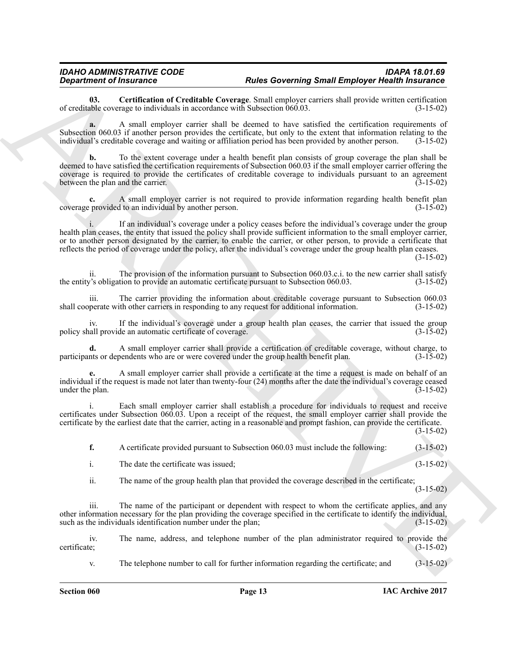<span id="page-12-0"></span>**03. Certification of Creditable Coverage**. Small employer carriers shall provide written certification able coverage to individuals in accordance with Subsection 060.03. (3-15-02) of creditable coverage to individuals in accordance with Subsection  $060.03$ .

**a.** A small employer carrier shall be deemed to have satisfied the certification requirements of Subsection 060.03 if another person provides the certificate, but only to the extent that information relating to the individual's creditable coverage and waiting or affiliation period has been provided by another person. (3-15-02)

**b.** To the extent coverage under a health benefit plan consists of group coverage the plan shall be deemed to have satisfied the certification requirements of Subsection 060.03 if the small employer carrier offering the coverage is required to provide the certificates of creditable coverage to individuals pursuant to an agreement between the plan and the carrier. (3-15-02) between the plan and the carrier.

**c.** A small employer carrier is not required to provide information regarding health benefit plan provided to an individual by another person. coverage provided to an individual by another person.

**Department of Francesco Constraints Constraints Show Governing Small Employer Heishh insurance<br>
Constraints of Constraints of Constraints Constraints Constraints Constraints Constraints (Secondary Constraints)<br>
Solven th** If an individual's coverage under a policy ceases before the individual's coverage under the group health plan ceases, the entity that issued the policy shall provide sufficient information to the small employer carrier, or to another person designated by the carrier, to enable the carrier, or other person, to provide a certificate that reflects the period of coverage under the policy, after the individual's coverage under the group health plan ceases. (3-15-02)

ii. The provision of the information pursuant to Subsection 060.03.c.i. to the new carrier shall satisfy  $y$ 's obligation to provide an automatic certificate pursuant to Subsection 060.03. (3-15-02) the entity's obligation to provide an automatic certificate pursuant to Subsection 060.03.

iii. The carrier providing the information about creditable coverage pursuant to Subsection 060.03 shall cooperate with other carriers in responding to any request for additional information.

iv. If the individual's coverage under a group health plan ceases, the carrier that issued the group policy shall provide an automatic certificate of coverage.

**d.** A small employer carrier shall provide a certification of creditable coverage, without charge, to nts or dependents who are or were covered under the group health benefit plan. (3-15-02) participants or dependents who are or were covered under the group health benefit plan.

**e.** A small employer carrier shall provide a certificate at the time a request is made on behalf of an individual if the request is made not later than twenty-four (24) months after the date the individual's coverage ceased under the plan.

i. Each small employer carrier shall establish a procedure for individuals to request and receive certificates under Subsection 060.03. Upon a receipt of the request, the small employer carrier shall provide the certificate by the earliest date that the carrier, acting in a reasonable and prompt fashion, can provide the certificate.  $(3-15-02)$ 

**f.** A certificate provided pursuant to Subsection 060.03 must include the following:  $(3-15-02)$ 

i. The date the certificate was issued; (3-15-02)

ii. The name of the group health plan that provided the coverage described in the certificate;

(3-15-02)

iii. The name of the participant or dependent with respect to whom the certificate applies, and any other information necessary for the plan providing the coverage specified in the certificate to identify the individual, such as the individuals identification number under the plan; (3-15-02)

iv. The name, address, and telephone number of the plan administrator required to provide the certificate; (3-15-02) certificate; (3-15-02)

v. The telephone number to call for further information regarding the certificate; and (3-15-02)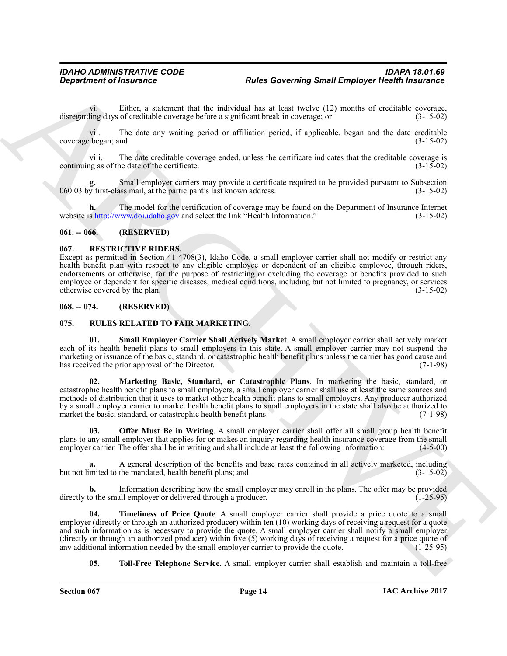vi. Either, a statement that the individual has at least twelve (12) months of creditable coverage, disregarding days of creditable coverage before a significant break in coverage; or

vii. The date any waiting period or affiliation period, if applicable, began and the date creditable coverage began; and (3-15-02)

viii. The date creditable coverage ended, unless the certificate indicates that the creditable coverage is continuing as of the date of the certificate.

Small employer carriers may provide a certificate required to be provided pursuant to Subsection ass mail, at the participant's last known address.  $(3-15-02)$ 060.03 by first-class mail, at the participant's last known address.

**h.** The model for the certification of coverage may be found on the Department of Insurance Internet website is http://www.doi.idaho.gov and select the link "Health Information." (3-15-02)

### <span id="page-13-0"></span>**061. -- 066. (RESERVED)**

### <span id="page-13-4"></span><span id="page-13-1"></span>**067. RESTRICTIVE RIDERS.**

Except as permitted in Section 41-4708(3), Idaho Code, a small employer carrier shall not modify or restrict any health benefit plan with respect to any eligible employee or dependent of an eligible employee, through riders, endorsements or otherwise, for the purpose of restricting or excluding the coverage or benefits provided to such employee or dependent for specific diseases, medical conditions, including but not limited to pregnancy, or services otherwise covered by the plan. (3-15-02)

# <span id="page-13-2"></span>**068. -- 074. (RESERVED)**

# <span id="page-13-5"></span><span id="page-13-3"></span>**075. RULES RELATED TO FAIR MARKETING.**

<span id="page-13-8"></span><span id="page-13-6"></span>**01. Small Employer Carrier Shall Actively Market**. A small employer carrier shall actively market each of its health benefit plans to small employers in this state. A small employer carrier may not suspend the marketing or issuance of the basic, standard, or catastrophic health benefit plans unless the carrier has good cause and has received the prior approval of the Director. (7-1-98) has received the prior approval of the Director.

**Expansion of Franconics**<br> **Expansion of Francoic Control interaction in a transport the anti-section of the control interaction in a transport of the state interaction is a transport of the state interaction in the state 02. Marketing Basic, Standard, or Catastrophic Plans**. In marketing the basic, standard, or catastrophic health benefit plans to small employers, a small employer carrier shall use at least the same sources and methods of distribution that it uses to market other health benefit plans to small employers. Any producer authorized by a small employer carrier to market health benefit plans to small employers in the state shall also be authorized to market the basic, standard, or catastrophic health benefit plans. (7-1-98)

<span id="page-13-7"></span>**03. Offer Must Be in Writing**. A small employer carrier shall offer all small group health benefit plans to any small employer that applies for or makes an inquiry regarding health insurance coverage from the small employer carrier. The offer shall be in writing and shall include at least the following information: (4-5-00)

**a.** A general description of the benefits and base rates contained in all actively marketed, including mited to the mandated, health benefit plans; and (3-15-02) but not limited to the mandated, health benefit plans; and

**b.** Information describing how the small employer may enroll in the plans. The offer may be provided directly to the small employer or delivered through a producer. (1-25-95)

<span id="page-13-9"></span>**04. Timeliness of Price Quote**. A small employer carrier shall provide a price quote to a small employer (directly or through an authorized producer) within ten (10) working days of receiving a request for a quote and such information as is necessary to provide the quote. A small employer carrier shall notify a small employer (directly or through an authorized producer) within five (5) working days of receiving a request for a price quote of any additional information needed by the small employer carrier to provide the quote. (1-25-95) any additional information needed by the small employer carrier to provide the quote.

<span id="page-13-10"></span>**05. Toll-Free Telephone Service**. A small employer carrier shall establish and maintain a toll-free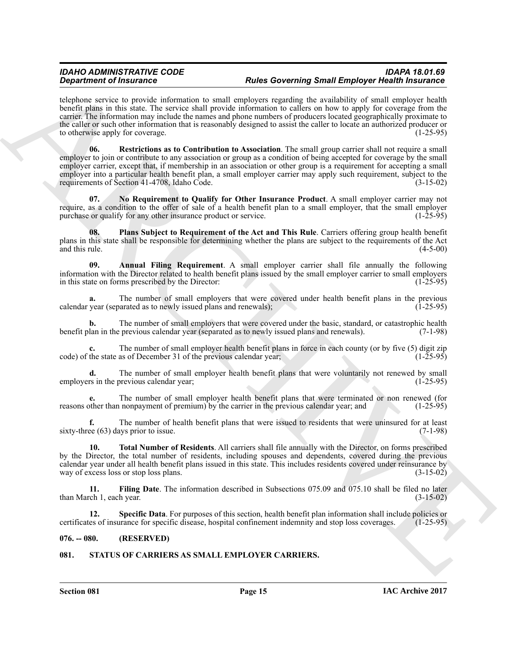<span id="page-14-6"></span>telephone service to provide information to small employers regarding the availability of small employer health benefit plans in this state. The service shall provide information to callers on how to apply for coverage from the carrier. The information may include the names and phone numbers of producers located geographically proximate to the caller or such other information that is reasonably designed to assist the caller to locate an authorized producer or to otherwise apply for coverage. (1-25-95)

**Experimente of Francesco Contribution** to small, any experiment of the state of the state of the state of the state of the state of the state of the state of the state of the state of the state of the state of the state **06. Restrictions as to Contribution to Association**. The small group carrier shall not require a small employer to join or contribute to any association or group as a condition of being accepted for coverage by the small employer carrier, except that, if membership in an association or other group is a requirement for accepting a small employer into a particular health benefit plan, a small employer carrier may apply such requirement, subject to the requirements of Section 41-4708, Idaho Code. (3-15-02)

<span id="page-14-4"></span>**07. No Requirement to Qualify for Other Insurance Product**. A small employer carrier may not require, as a condition to the offer of sale of a health benefit plan to a small employer, that the small employer purchase or qualify for any other insurance product or service. (1-25-95) purchase or qualify for any other insurance product or service.

<span id="page-14-5"></span>**08. Plans Subject to Requirement of the Act and This Rule**. Carriers offering group health benefit plans in this state shall be responsible for determining whether the plans are subject to the requirements of the Act and this rule.  $(4-5-00)$ 

<span id="page-14-2"></span>**09. Annual Filing Requirement**. A small employer carrier shall file annually the following information with the Director related to health benefit plans issued by the small employer carrier to small employers in this state on forms prescribed by the Director:

**a.** The number of small employers that were covered under health benefit plans in the previous vear (separated as to newly issued plans and renewals): (1-25-95) calendar year (separated as to newly issued plans and renewals);

**b.** The number of small employers that were covered under the basic, standard, or catastrophic health lan in the previous calendar year (separated as to newly issued plans and renewals). (7-1-98) benefit plan in the previous calendar year (separated as to newly issued plans and renewals).

The number of small employer health benefit plans in force in each county (or by five (5) digit zip as of December 31 of the previous calendar year; code) of the state as of December 31 of the previous calendar year;

**d.** The number of small employer health benefit plans that were voluntarily not renewed by small rs in the previous calendar year; employers in the previous calendar year;

**e.** The number of small employer health benefit plans that were terminated or non renewed (for other than nonpayment of premium) by the carrier in the previous calendar year; and (1-25-95) reasons other than nonpayment of premium) by the carrier in the previous calendar year; and

**f.** The number of health benefit plans that were issued to residents that were uninsured for at least ee (63) days prior to issue. (7-1-98) sixty-three  $(63)$  days prior to issue.

<span id="page-14-8"></span>**10. Total Number of Residents**. All carriers shall file annually with the Director, on forms prescribed by the Director, the total number of residents, including spouses and dependents, covered during the previous calendar year under all health benefit plans issued in this state. This includes residents covered under reinsurance by way of excess loss or stop loss plans.

<span id="page-14-3"></span>**11. Filing Date**. The information described in Subsections 075.09 and 075.10 shall be filed no later ch 1, each year. (3-15-02) than March 1, each year.

<span id="page-14-7"></span>**12. Specific Data**. For purposes of this section, health benefit plan information shall include policies or certificates of insurance for specific disease, hospital confinement indemnity and stop loss coverages. (1-25-95)

# <span id="page-14-0"></span>**076. -- 080. (RESERVED)**

# <span id="page-14-9"></span><span id="page-14-1"></span>**081. STATUS OF CARRIERS AS SMALL EMPLOYER CARRIERS.**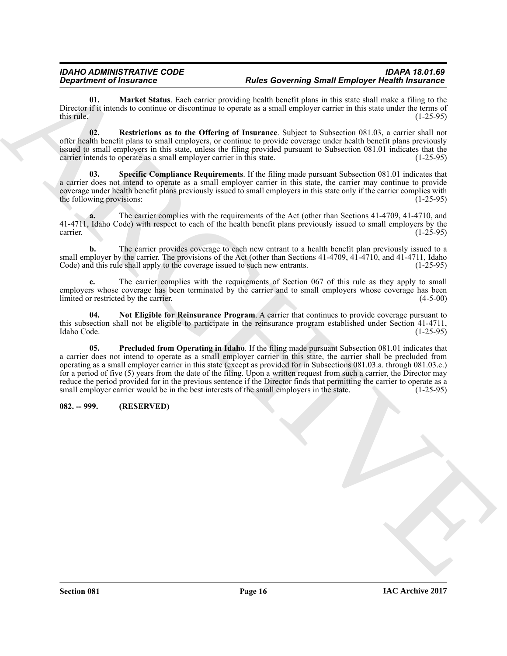<span id="page-15-1"></span>**01. Market Status**. Each carrier providing health benefit plans in this state shall make a filing to the Director if it intends to continue or discontinue to operate as a small employer carrier in this state under the terms of this rule. (1-25-95) this rule.  $(1-25-95)$ 

<span id="page-15-4"></span>**02. Restrictions as to the Offering of Insurance**. Subject to Subsection 081.03, a carrier shall not offer health benefit plans to small employers, or continue to provide coverage under health benefit plans previously issued to small employers in this state, unless the filing provided pursuant to Subsection 081.01 indicates that the carrier intends to operate as a small employer carrier in this state. (1-25-95)

<span id="page-15-5"></span>**03. Specific Compliance Requirements**. If the filing made pursuant Subsection 081.01 indicates that a carrier does not intend to operate as a small employer carrier in this state, the carrier may continue to provide coverage under health benefit plans previously issued to small employers in this state only if the carrier complies with the following provisions: (1-25-95) the following provisions:

**a.** The carrier complies with the requirements of the Act (other than Sections 41-4709, 41-4710, and 41-4711, Idaho Code) with respect to each of the health benefit plans previously issued to small employers by the carrier.  $\frac{1}{25-95}$  (1-25-95)

**b.** The carrier provides coverage to each new entrant to a health benefit plan previously issued to a small employer by the carrier. The provisions of the Act (other than Sections 41-4709, 41-4710, and 41-4711, Idaho Code) and this rule shall apply to the coverage issued to such new entrants. (1-25-95) Code) and this rule shall apply to the coverage issued to such new entrants.

**c.** The carrier complies with the requirements of Section 067 of this rule as they apply to small employers whose coverage has been terminated by the carrier and to small employers whose coverage has been limited or restricted by the carrier. (4-5-00)

<span id="page-15-3"></span><span id="page-15-2"></span>**04. Not Eligible for Reinsurance Program**. A carrier that continues to provide coverage pursuant to this subsection shall not be eligible to participate in the reinsurance program established under Section 41-4711,<br>Idaho Code. (1-25-95) Idaho Code. (1-25-95)

**Expansion of Instantants Control in the Governing Rand Enginese Control in the Control in the Control instantants (a) and the Control in the Control instantant Control in the Control instantant Control in the Control ins 05. Precluded from Operating in Idaho**. If the filing made pursuant Subsection 081.01 indicates that a carrier does not intend to operate as a small employer carrier in this state, the carrier shall be precluded from operating as a small employer carrier in this state (except as provided for in Subsections 081.03.a. through 081.03.c.) for a period of five (5) years from the date of the filing. Upon a written request from such a carrier, the Director may reduce the period provided for in the previous sentence if the Director finds that permitting the carrier to operate as a small employer carrier would be in the best interests of the small employers in the state. (1-25-95)

# <span id="page-15-0"></span>**082. -- 999. (RESERVED)**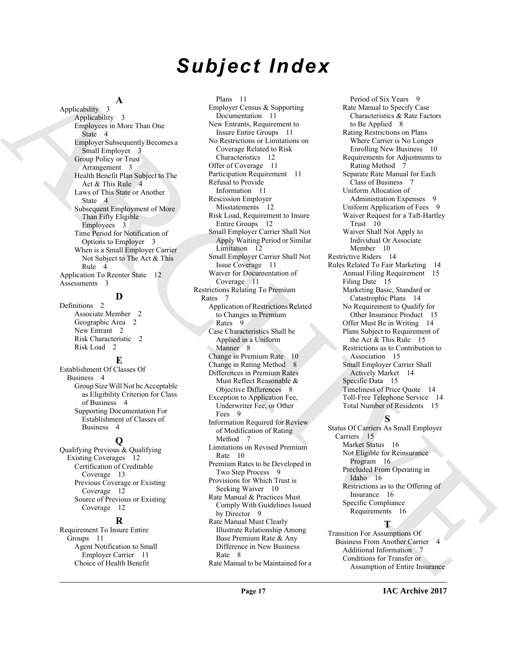# *Subject Index*

# **A**

Applicability 3 Applicability 3 Employees in More Than One State 4 Employer Subsequently Becomes a Small Employer 3 Group Policy or Trust Arrangement 3 Health Benefit Plan Subject to The Act & This Rule 4 Laws of This State or Another State 4 Subsequent Employment of More Than Fifty Eligible Employees 3 Time Period for Notification of Options to Employer 3 When is a Small Employer Carrier Not Subject to The Act & This Rule 4 Application To Reenter State 12 Assessments 3

# **D**

Definitions 2 Associate Member 2 Geographic Area 2 New Entrant 2 Risk Characteristic 2 Risk Load 2

# **E**

Establishment Of Classes Of Business 4 Group Size Will Not be Acceptable as Eligibility Criterion for Class of Business 4 Supporting Documentation For Establishment of Classes of Business 4

# **Q**

Qualifying Previous & Qualifying Existing Coverages 12 Certification of Creditable Coverage 13 Previous Coverage or Existing Coverage 12 Source of Previous or Existing Coverage 12

# **R**

Requirement To Insure Entire Groups 11 Agent Notification to Small Employer Carrier 11 Choice of Health Benefit

[A](#page-3-4)[R](#page-2-8)[C](#page-11-11)[H](#page-8-0)[I](#page-7-2)[V](#page-14-9)[E](#page-15-3) Plans 11 Employer Census & Supporting Documentation 11 New Entrants, Requirement to Insure Entire Groups 11 No Restrictions or Limitations on Coverage Related to Risk Characteristics 12 Offer of Coverage 11 Participation Requirement 11 Refusal to Provide Information 11 Rescission Employer Misstatements 12 Risk Load, Requirement to Insure Entire Groups 12 Small Employer Carrier Shall Not Apply Waiting Period or Similar Limitation 12 Small Employer Carrier Shall Not Issue Coverage 11 Waiver for Documentation of Coverage 11 Restrictions Relating To Premium Rates 7 Application of Restrictions Related to Changes in Premium Rates 9 Case Characteristics Shall be Applied in a Uniform Manner 8 Change in Premium Rate 10 Change in Rating Method 8 Differences in Premium Rates Must Reflect Reasonable & Objective Differences 8 Exception to Application Fee, Underwriter Fee, or Other Fees 9 Information Required for Review of Modification of Rating Method 7 Limitations on Revised Premium Rate 10 Premium Rates to be Developed in Two Step Process 9 Provisions for Which Trust is Seeking Waiver 10 Rate Manual & Practices Must Comply With Guidelines Issued by Director 9 Rate Manual Must Clearly Illustrate Relationship Among Base Premium Rate & Any Difference in New Business Rate 8

Rate Manual to be Maintained for a

Period of Six Years 9 Rate Manual to Specify Case Characteristics & Rate Factors to Be Applied 8 Rating Restrictions on Plans Where Carrier is No Longer Enrolling New Business 10 Requirements for Adjustments to Rating Method 7 Separate Rate Manual for Each Class of Business 7 Uniform Allocation of Administration Expenses 9 Uniform Application of Fees 9 Waiver Request for a Taft-Hartley Trust 10 Waiver Shall Not Apply to Individual Or Associate Member 10 Restrictive Riders 14 Rules Related To Fair Marketing 14 Annual Filing Requirement 15 Filing Date 15 Marketing Basic, Standard or Catastrophic Plans 14 No Requirement to Qualify for Other Insurance Product 15 Offer Must Be in Writing 14 Plans Subject to Requirement of the Act & This Rule 15 Restrictions as to Contribution to Association 15 Small Employer Carrier Shall Actively Market 14 Specific Data 15 Timeliness of Price Quote 14 Toll-Free Telephone Service 14 Total Number of Residents 15

# **S**

Status Of Carriers As Small Employer Carriers 15 Market Status 16 Not Eligible for Reinsurance Program 16 Precluded From Operating in Idaho 16 Restrictions as to the Offering of Insurance 16 Specific Compliance Requirements 16

# **T**

Transition For Assumptions Of Business From Another Carrier 4 Additional Information 7 Conditions for Transfer or Assumption of Entire Insurance